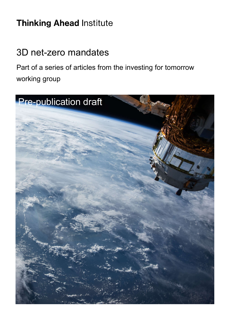# **Thinking Ahead Institute**

# 3D net-zero mandates

Part of a series of articles from the investing for tomorrow working group

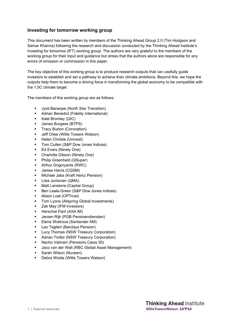# **Investing for tomorrow working group**

This document has been written by members of the Thinking Ahead Group 2.0 (Tim Hodgson and Samar Khanna) following the research and discussion conducted by the Thinking Ahead Institute's investing for tomorrow (IFT) working group. The authors are very grateful to the members of the working group for their input and guidance but stress that the authors alone are responsible for any errors of omission or commission in this paper.

The key objective of this working group is to produce research outputs that can usefully guide investors to establish and set a pathway to achieve their climate ambitions. Beyond this, we hope the outputs help them to become a driving force in transforming the global economy to be compatible with the 1.5C climate target.

The members of this working group are as follows:

- **Jyoti Banerjee (North Star Transition)**
- Adrian Benedict (Fidelity International)
- Kate Bromley (QIC)
- **James Burgess (BTPS)**
- Tracy Burton (Coronation)
- **Jeff Chee (Willis Towers Watson)**
- **-** Helen Christie (Univest)
- **Tom Cullen (S&P Dow Jones Indices)**
- **Ed Evers (Ninety One)**
- Charlotte Gibson (Ninety One)
- **•** Philip Greenheld (QSuper)
- **Arthur Grigoryants (RWC)**
- **James Harris (CQSM)**
- **Michael Jabs (Kraft Heinz Pension)**
- Liisa Juntunen (QMA)
- Matt Lanstone (Capital Group)
- **Ben Leale-Green (S&P Dow Jones Indices)**
- **Alison Loat (OPTrust)**
- Tom Lyons (Allspring Global Investments)
- **EXEC** Zak May (IFM Investors)
- **Herschel Pant (AXA IM)**
- **Jeroen Rijk (PGB Pensioendiensten)**
- **Elena Shatrova (Santander AM)**
- **Leo Taglieri (Barclays Pension)**
- Lucy Thomas (NSW Treasury Corporation)
- **Adrian Trollor (NSW Treasury Corporation)**
- Nacho Valinani (Pensions Caixa 30)
- Jaco van der Walt (RBC Global Asset Management)
- **Sarah Wilson (Nuveen)**
- Debra Woida (Willis Towers Watson)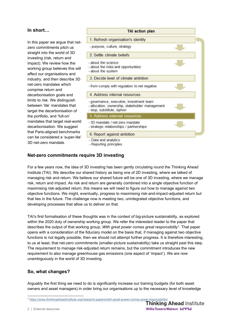## **In short…**

In this paper we argue that netzero commitments pitch us straight into the world of 3D investing (risk, return and impact). We review how the working group believes this will affect our organisations and industry, and then describe 3D net-zero mandates which comprise return and decarbonisation goals and limits to risk. We distinguish between 'lite' mandates that target the decarbonisation of the portfolio, and 'full-on' mandates that target real-world decarbonisation. We suggest that Paris-aligned benchmarks can be considered a 'super-lite' 3D net-zero mandate.



## **Net-zero commitments require 3D investing**

For a few years now, the idea of 3D investing has been gently circulating round the Thinking Ahead Institute (TAI). We describe our shared history as being one of 2D investing, where we talked of managing risk and return. We believe our shared future will be one of 3D investing, where we manage risk, return and impact. As risk and return are generally combined into a single objective function of maximising risk-adjusted return, this means we will need to figure out how to manage against two objective functions. We might, eventually, progress to maximising risk-and-impact-adjusted return but that lies in the future. The challenge now is meeting two, unintegrated objective functions, and developing processes that allow us to deliver on that.

TAI's first formalisation of these thoughts was in the context of big-picture sustainability, as explored within the 2020 duty of ownership working group. We refer the interested reader to the paper that describes the output of that working group, *With great power comes great responsibility1*. That paper opens with a consideration of the fiduciary model on the basis that, if managing against two objective functions is not legally possible, then we should not attempt further progress. It is therefore interesting, to us at least, that net-zero commitments (smaller-picture sustainability) take us straight past this step. The requirement to manage risk-adjusted return remains, but the commitment introduces the new requirement to also manage greenhouse gas emissions (one aspect of 'impact'). We are now unambiguously in the world of 3D investing.

## **So, what changes?**

Arguably the first thing we need to do is significantly increase our training budgets (for both asset owners and asset managers) in order bring our organisations up to the necessary level of knowledge

<sup>1</sup> https://www.thinkingaheadinstitute.org/research-papers/with-great-power-comes-great-responsibility/<br>Thinking Ahead Institute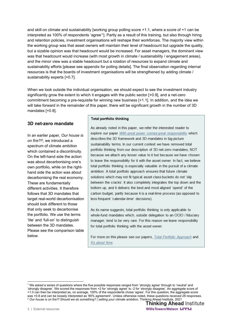and skill on climate and sustainability [working group polling score +1.1, where a score of +1 can be interpreted as 100% of respondents 'agree'1]. Partly as a result of this training, but also through hiring and retention policies, investment organisations will reshape their workforces. The majority view within the working group was that asset owners will maintain their level of headcount but upgrade the quality, but a sizable opinion was that headcount would be increased. For asset managers, the dominant view was that headcount would increase (with most growth in climate / sustainability / engagement areas), and the minor view was a stable headcount but a rotation of resources to expand climate and sustainability efforts [please see appendix for polling details]. The final observation regarding internal resources is that the boards of investment organisations will be strengthened by adding climate / sustainability experts [+0.7].

When we look outside the individual organisation, we should expect to see the investment industry significantly grow the extent to which it engages with the public sector [+0.9], and a net-zero commitment becoming a pre-requisite for winning new business [+1.1]. In addition, and the idea we will take forward in the remainder of this paper, there will be significant growth in the number of 3D mandates [+0.8].

## **3D net-zero mandate**

In an earlier paper, *Our house is on fire?!2*, we introduced a spectrum of climate ambition which contained a discontinuity. On the left-hand side the action was about decarbonising one's own portfolio, while on the righthand side the action was about decarbonising the real economy. These are fundamentally different activities. It therefore follows that 3D mandates that target real-world decarbonisation should look different to those that only seek to decarbonise the portfolio. We use the terms 'lite' and 'full-on' to distinguish between the 3D mandates. Please see the comparison table below.

#### **Total portfolio thinking**

As already noted in this paper, we refer the interested reader to explore our paper With great power comes great responsibility which describes the 3D framework and 3D mandates in big-picture sustainability terms. In our current context we have removed total portfolio thinking from our description of 3D net-zero mandates, NOT because we attach any lesser value to it but because we have chosen to leave the responsibility for it with the asset owner. In fact, we believe total portfolio thinking is especially valuable in the pursuit of a climate ambition. A total portfolio approach ensures that future climate solutions which may not fit typical asset class buckets do not 'slip between the cracks'. It also completely integrates the top down and the bottom up, and it delivers the best and most aligned 'spend' of the carbon budget, partly because it is a real-time process (as opposed to less frequent 'calendar-time' decisions).

As its name suggests, total portfolio thinking is only applicable to whole-fund mandates which, outside delegation to an OCIO / fiduciary manager, tend to be very rare. For this reason we leave responsibility for total portfolio thinking with the asset owner.

For more on this please see our papers, Total Portfolio Approach and It's about time.

<sup>1</sup> We asked a series of questions where the five possible responses ranged from 'strongly agree' through to 'neutral' and 'strongly disagree'. We scored the responses from +2 for 'strongly agree' to -2 for 'strongly disagree'. An aggregate score of +1.0 can then be interpreted as, on average, 100% of the respondents chose 'agree'. For this question, the aggregate score was +0.8 and can be loosely interpreted as '80% agreement'. Unless otherwise noted, these questions received 28 responses. <sup>2</sup> *Our house is on fire?! Should we do something? | setting your climate ambition*, Thinking Ahead Institute, 2021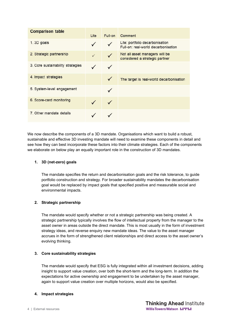| <b>Comparison table</b>           | Lite | Full-on | Comment                                                                |
|-----------------------------------|------|---------|------------------------------------------------------------------------|
| 1. 3D goals                       |      |         | Lite: portfolio decarbonisation<br>Full-on: real-world decarbonisation |
| 2. Strategic partnership          |      |         | Not all asset managers will be<br>considered a strategic partner       |
| 3. Core sustainability strategies |      |         |                                                                        |
| 4. Impact strategies              |      | ✓       | The target is real-world decarbonisation                               |
| 5. System-level engagement        |      |         |                                                                        |
| 6. Score-card monitoring          |      |         |                                                                        |
| 7. Other mandate details          |      |         |                                                                        |

We now describe the components of a 3D mandate. Organisations which want to build a robust, sustainable and effective 3D investing mandate will need to examine these components in detail and see how they can best incorporate these factors into their climate strategies. Each of the components we elaborate on below play an equally important role in the construction of 3D mandates.

### **1. 3D (net-zero) goals**

The mandate specifies the return and decarbonisation goals and the risk tolerance, to guide portfolio construction and strategy. For broader sustainability mandates the decarbonisation goal would be replaced by impact goals that specified positive and measurable social and environmental impacts.

#### **2. Strategic partnership**

The mandate would specify whether or not a strategic partnership was being created. A strategic partnership typically involves the flow of intellectual property from the manager to the asset owner in areas outside the direct mandate. This is most usually in the form of investment strategy ideas, and reverse enquiry new mandate ideas. The value to the asset manager accrues in the form of strengthened client relationships and direct access to the asset owner's evolving thinking.

#### **3. Core sustainability strategies**

The mandate would specify that ESG is fully integrated within all investment decisions, adding insight to support value creation, over both the short-term and the long-term. In addition the expectations for active ownership and engagement to be undertaken by the asset manager, again to support value creation over multiple horizons, would also be specified.

#### **4. Impact strategies**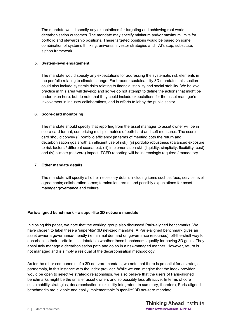The mandate would specify any expectations for targeting and achieving real-world decarbonisation outcomes. The mandate may specify minimum and/or maximum limits for portfolio and stewardship positions. These targeted positions would be based on some combination of systems thinking, universal investor strategies and TAI's stop, substitute, siphon framework.

#### **5. System-level engagement**

The mandate would specify any expectations for addressing the systematic risk elements in the portfolio relating to climate change. For broader sustainability 3D mandates this section could also include systemic risks relating to financial stability and social stability. We believe practice in this area will develop and so we do not attempt to define the actions that might be undertaken here, but do note that they could include expectations for the asset manager's involvement in industry collaborations, and in efforts to lobby the public sector.

### **6. Score-card monitoring**

The mandate should specify that reporting from the asset manager to asset owner will be in score-card format, comprising multiple metrics of both hard and soft measures. The scorecard should convey (i) portfolio efficiency (in terms of meeting both the return and decarbonisation goals with an efficient use of risk), (ii) portfolio robustness (balanced exposure to risk factors / different scenarios), (iii) implementation skill (liquidity, simplicity, flexibility, cost) and (iv) climate (net-zero) impact. TCFD reporting will be increasingly required / mandatory.

#### **7. Other mandate details**

The mandate will specify all other necessary details including items such as fees; service level agreements; collaboration terms; termination terms; and possibly expectations for asset manager governance and culture.

#### **Paris-aligned benchmark – a super-lite 3D net-zero mandate**

In closing this paper, we note that the working group also discussed Paris-aligned benchmarks. We have chosen to label these a 'super-lite' 3D net-zero mandate. A Paris-aligned benchmark gives an asset owner a governance-friendly (ie minimal demand on governance resources), off-the-shelf way to decarbonise their portfolio. It is debatable whether these benchmarks qualify for having 3D goals. They absolutely manage a decarbonisation path and do so in a risk-managed manner. However, return is not managed and is simply a residual of the decarbonisation methodology.

As for the other components of a 3D net-zero mandate, we note that there is potential for a strategic partnership, in this instance with the index provider. While we can imagine that the index provider would be open to selective strategic relationships, we also believe that the users of Paris-aligned benchmarks might be the smaller asset owners and so possibly less attractive. In terms of core sustainability strategies, decarbonisation is explicitly integrated. In summary, therefore, Paris-aligned benchmarks are a viable and easily implementable 'super-lite' 3D net-zero mandate.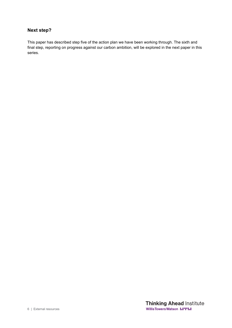# **Next step?**

This paper has described step five of the action plan we have been working through. The sixth and final step, reporting on progress against our carbon ambition, will be explored in the next paper in this series.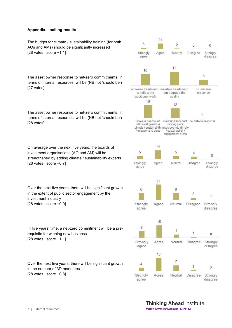#### **Appendix – polling results**

The budget for climate / sustainability training (for both AOs and AMs) should be significantly increased [28 votes | score +1.1]

The asset owner response to net-zero commitments, in terms of internal resources, will be (NB not 'should be') [27 votes]

 $21$ 5  $\overline{2}$  $\theta$  $\overline{0}$ Disagree Strongly Strongly Agree Neutral agree disagree  $12$  $10$ 5 increase headcount, maintain headcount, no material to reflect the but upgrade the re spon se additional work quality 16 12  $\alpha$ increase headcount, maintain headcount, no material response with most growth in moving more climate / sustainability resources into dimate / engagement areas / sustainability engagement areas 14 5 5  $\overline{4}$ 0 Strongly Neutral Agree Disagree Strongly agree disagree 14  $6\phantom{a}$  $6$  $\overline{c}$  $\Omega$ Strongly Agree Neutral Disagree Strongly agree disagree 15 8



The asset owner response to net-zero commitments, in terms of internal resources, will be (NB not 'should be') [28 votes]

On average over the next five years, the boards of investment organisations (AO and AM) will be strengthened by adding climate / sustainability experts [28 votes | score +0.7]

Over the next five years, there will be significant growth in the extent of public sector engagement by the investment industry [28 votes | score +0.9]

In five years' time, a net-zero commitment will be a prerequisite for winning new business [28 votes | score +1.1]

Over the next five years, there will be significant growth in the number of 3D mandates [28 votes | score +0.8]

> **Thinking Ahead Institute WillisTowersWatson I.I'I'I.I**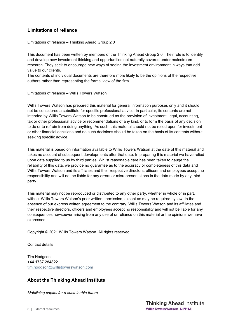# **Limitations of reliance**

Limitations of reliance – Thinking Ahead Group 2.0

This document has been written by members of the Thinking Ahead Group 2.0. Their role is to identify and develop new investment thinking and opportunities not naturally covered under mainstream research. They seek to encourage new ways of seeing the investment environment in ways that add value to our clients.

The contents of individual documents are therefore more likely to be the opinions of the respective authors rather than representing the formal view of the firm.

Limitations of reliance – Willis Towers Watson

Willis Towers Watson has prepared this material for general information purposes only and it should not be considered a substitute for specific professional advice. In particular, its contents are not intended by Willis Towers Watson to be construed as the provision of investment, legal, accounting, tax or other professional advice or recommendations of any kind, or to form the basis of any decision to do or to refrain from doing anything. As such, this material should not be relied upon for investment or other financial decisions and no such decisions should be taken on the basis of its contents without seeking specific advice.

This material is based on information available to Willis Towers Watson at the date of this material and takes no account of subsequent developments after that date. In preparing this material we have relied upon data supplied to us by third parties. Whilst reasonable care has been taken to gauge the reliability of this data, we provide no guarantee as to the accuracy or completeness of this data and Willis Towers Watson and its affiliates and their respective directors, officers and employees accept no responsibility and will not be liable for any errors or misrepresentations in the data made by any third party.

This material may not be reproduced or distributed to any other party, whether in whole or in part, without Willis Towers Watson's prior written permission, except as may be required by law. In the absence of our express written agreement to the contrary, Willis Towers Watson and its affiliates and their respective directors, officers and employees accept no responsibility and will not be liable for any consequences howsoever arising from any use of or reliance on this material or the opinions we have expressed.

Copyright © 2021 Willis Towers Watson. All rights reserved.

Contact details

Tim Hodgson +44 1737 284822 tim.hodgson@willistowerswatson.com

# **About the Thinking Ahead Institute**

*Mobilising capital for a sustainable future*.